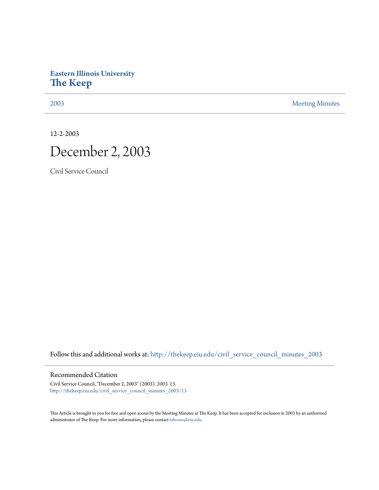## **Eastern Illinois University [The Keep](http://thekeep.eiu.edu?utm_source=thekeep.eiu.edu%2Fcivil_service_council_minutes_2003%2F13&utm_medium=PDF&utm_campaign=PDFCoverPages)**

[2003](http://thekeep.eiu.edu/civil_service_council_minutes_2003?utm_source=thekeep.eiu.edu%2Fcivil_service_council_minutes_2003%2F13&utm_medium=PDF&utm_campaign=PDFCoverPages) [Meeting Minutes](http://thekeep.eiu.edu/civil_service_council_minutes?utm_source=thekeep.eiu.edu%2Fcivil_service_council_minutes_2003%2F13&utm_medium=PDF&utm_campaign=PDFCoverPages)

12-2-2003

## December 2, 2003

Civil Service Council

Follow this and additional works at: [http://thekeep.eiu.edu/civil\\_service\\_council\\_minutes\\_2003](http://thekeep.eiu.edu/civil_service_council_minutes_2003?utm_source=thekeep.eiu.edu%2Fcivil_service_council_minutes_2003%2F13&utm_medium=PDF&utm_campaign=PDFCoverPages)

## Recommended Citation

Civil Service Council, "December 2, 2003" (2003). *2003*. 13. [http://thekeep.eiu.edu/civil\\_service\\_council\\_minutes\\_2003/13](http://thekeep.eiu.edu/civil_service_council_minutes_2003/13?utm_source=thekeep.eiu.edu%2Fcivil_service_council_minutes_2003%2F13&utm_medium=PDF&utm_campaign=PDFCoverPages)

This Article is brought to you for free and open access by the Meeting Minutes at The Keep. It has been accepted for inclusion in 2003 by an authorized administrator of The Keep. For more information, please contact [tabruns@eiu.edu.](mailto:tabruns@eiu.edu)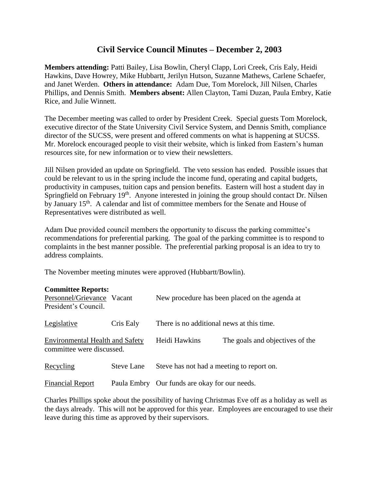## **Civil Service Council Minutes – December 2, 2003**

**Members attending:** Patti Bailey, Lisa Bowlin, Cheryl Clapp, Lori Creek, Cris Ealy, Heidi Hawkins, Dave Howrey, Mike Hubbartt, Jerilyn Hutson, Suzanne Mathews, Carlene Schaefer, and Janet Werden. **Others in attendance:** Adam Due, Tom Morelock, Jill Nilsen, Charles Phillips, and Dennis Smith. **Members absent:** Allen Clayton, Tami Duzan, Paula Embry, Katie Rice, and Julie Winnett.

The December meeting was called to order by President Creek. Special guests Tom Morelock, executive director of the State University Civil Service System, and Dennis Smith, compliance director of the SUCSS, were present and offered comments on what is happening at SUCSS. Mr. Morelock encouraged people to visit their website, which is linked from Eastern's human resources site, for new information or to view their newsletters.

Jill Nilsen provided an update on Springfield. The veto session has ended. Possible issues that could be relevant to us in the spring include the income fund, operating and capital budgets, productivity in campuses, tuition caps and pension benefits. Eastern will host a student day in Springfield on February 19<sup>th</sup>. Anyone interested in joining the group should contact Dr. Nilsen by January 15th. A calendar and list of committee members for the Senate and House of Representatives were distributed as well.

Adam Due provided council members the opportunity to discuss the parking committee's recommendations for preferential parking. The goal of the parking committee is to respond to complaints in the best manner possible. The preferential parking proposal is an idea to try to address complaints.

The November meeting minutes were approved (Hubbartt/Bowlin).

| <b>Committee Reports:</b><br>Personnel/Grievance Vacant<br>President's Council. |                   |                                               | New procedure has been placed on the agenda at |
|---------------------------------------------------------------------------------|-------------------|-----------------------------------------------|------------------------------------------------|
| Legislative                                                                     | Cris Ealy         | There is no additional news at this time.     |                                                |
| <b>Environmental Health and Safety</b><br>committee were discussed.             |                   | Heidi Hawkins                                 | The goals and objectives of the                |
| Recycling                                                                       | <b>Steve Lane</b> | Steve has not had a meeting to report on.     |                                                |
| <b>Financial Report</b>                                                         |                   | Paula Embry Our funds are okay for our needs. |                                                |

Charles Phillips spoke about the possibility of having Christmas Eve off as a holiday as well as the days already. This will not be approved for this year. Employees are encouraged to use their leave during this time as approved by their supervisors.